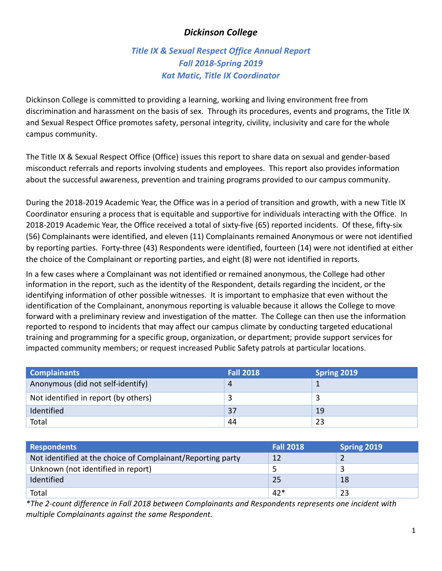## *Dickinson College*

# *Title IX & Sexual Respect Office Annual Report Fall 2018-Spring 2019 Kat Matic, Title IX Coordinator*

Dickinson College is committed to providing a learning, working and living environment free from discrimination and harassment on the basis of sex. Through its procedures, events and programs, the Title IX and Sexual Respect Office promotes safety, personal integrity, civility, inclusivity and care for the whole campus community.

The Title IX & Sexual Respect Office (Office) issues this report to share data on sexual and gender-based misconduct referrals and reports involving students and employees. This report also provides information about the successful awareness, prevention and training programs provided to our campus community.

During the 2018-2019 Academic Year, the Office was in a period of transition and growth, with a new Title IX Coordinator ensuring a process that is equitable and supportive for individuals interacting with the Office. In 2018-2019 Academic Year, the Office received a total of sixty-five (65) reported incidents. Of these, fifty-six (56) Complainants were identified, and eleven (11) Complainants remained Anonymous or were not identified by reporting parties. Forty-three (43) Respondents were identified, fourteen (14) were not identified at either the choice of the Complainant or reporting parties, and eight (8) were not identified in reports.

In a few cases where a Complainant was not identified or remained anonymous, the College had other information in the report, such as the identity of the Respondent, details regarding the incident, or the identifying information of other possible witnesses. It is important to emphasize that even without the identification of the Complainant, anonymous reporting is valuable because it allows the College to move forward with a preliminary review and investigation of the matter. The College can then use the information reported to respond to incidents that may affect our campus climate by conducting targeted educational training and programming for a specific group, organization, or department; provide support services for impacted community members; or request increased Public Safety patrols at particular locations.

| <b>Complainants</b>                  | <b>Fall 2018</b> | Spring 2019 |
|--------------------------------------|------------------|-------------|
| Anonymous (did not self-identify)    |                  |             |
| Not identified in report (by others) |                  |             |
| Identified                           | 37               | 19          |
| Total                                | 44               | 23          |

| <b>Respondents</b>                                          | <b>Fall 2018</b> | <b>Spring 2019</b> |
|-------------------------------------------------------------|------------------|--------------------|
| Not identified at the choice of Complainant/Reporting party | <b>12</b>        |                    |
| Unknown (not identified in report)                          |                  |                    |
| Identified                                                  | 25               | 18                 |
| Total                                                       | $42*$            | 23                 |

*\*The 2-count difference in Fall 2018 between Complainants and Respondents represents one incident with multiple Complainants against the same Respondent.*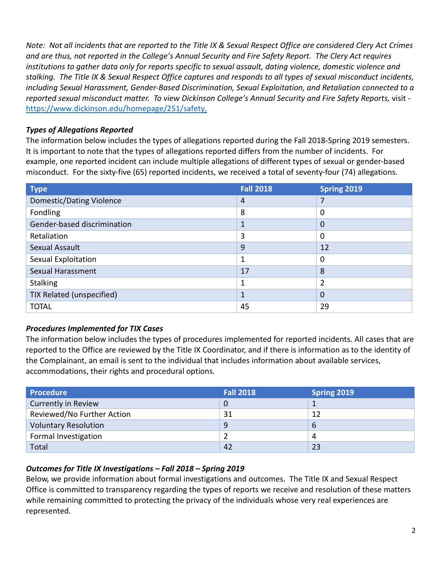*Note: Not all incidents that are reported to the Title IX & Sexual Respect Office are considered Clery Act Crimes and are thus, not reported in the College's Annual Security and Fire Safety Report. The Clery Act requires institutions to gather data only for reports specific to sexual assault, dating violence, domestic violence and stalking. The Title IX & Sexual Respect Office captures and responds to all types of sexual misconduct incidents, including Sexual Harassment, Gender-Based Discrimination, Sexual Exploitation, and Retaliation connected to a reported sexual misconduct matter. To view Dickinson College's Annual Security and Fire Safety Reports,* visit [https://www.dickinson.edu/homepage/251/safety.](https://www.dickinson.edu/homepage/251/safety)

### *Types of Allegations Reported*

The information below includes the types of allegations reported during the Fall 2018-Spring 2019 semesters. It is important to note that the types of allegations reported differs from the number of incidents. For example, one reported incident can include multiple allegations of different types of sexual or gender-based misconduct. For the sixty-five (65) reported incidents, we received a total of seventy-four (74) allegations.

| <b>Type</b>                 | <b>Fall 2018</b> | Spring 2019    |
|-----------------------------|------------------|----------------|
| Domestic/Dating Violence    | 4                | 7              |
| <b>Fondling</b>             | 8                | 0              |
| Gender-based discrimination | 1                | 0              |
| Retaliation                 | 3                | 0              |
| Sexual Assault              | 9                | 12             |
| Sexual Exploitation         | 1                | 0              |
| Sexual Harassment           | 17               | 8              |
| <b>Stalking</b>             | 1                | 2              |
| TIX Related (unspecified)   | 1                | $\overline{0}$ |
| <b>TOTAL</b>                | 45               | 29             |

## *Procedures Implemented for TIX Cases*

The information below includes the types of procedures implemented for reported incidents. All cases that are reported to the Office are reviewed by the Title IX Coordinator, and if there is information as to the identity of the Complainant, an email is sent to the individual that includes information about available services, accommodations, their rights and procedural options.

| <b>Procedure</b>            | <b>Fall 2018</b> | <b>Spring 2019</b> |
|-----------------------------|------------------|--------------------|
| <b>Currently in Review</b>  | O                |                    |
| Reviewed/No Further Action  | 31               | 12                 |
| <b>Voluntary Resolution</b> | 9                | 6                  |
| Formal Investigation        |                  |                    |
| Total                       | 42               | 23                 |

### *Outcomes for Title IX Investigations – Fall 2018 – Spring 2019*

Below, we provide information about formal investigations and outcomes. The Title IX and Sexual Respect Office is committed to transparency regarding the types of reports we receive and resolution of these matters while remaining committed to protecting the privacy of the individuals whose very real experiences are represented.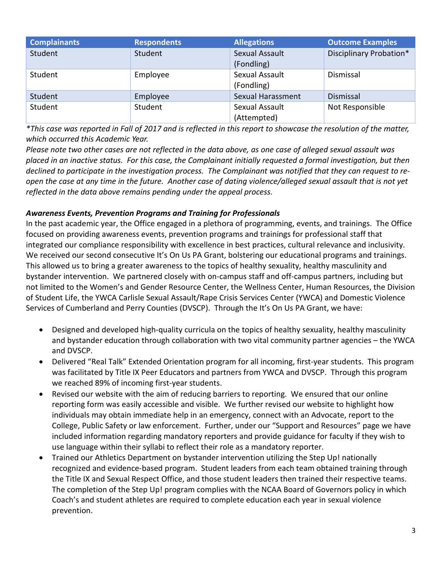| <b>Complainants</b> | <b>Respondents</b> | <b>Allegations</b>                  | <b>Outcome Examples</b> |
|---------------------|--------------------|-------------------------------------|-------------------------|
| Student             | Student            | <b>Sexual Assault</b><br>(Fondling) | Disciplinary Probation* |
| Student             | Employee           | Sexual Assault<br>(Fondling)        | Dismissal               |
| Student             | Employee           | Sexual Harassment                   | Dismissal               |
| Student             | Student            | Sexual Assault<br>(Attempted)       | Not Responsible         |

*\*This case was reported in Fall of 2017 and is reflected in this report to showcase the resolution of the matter, which occurred this Academic Year.* 

*Please note two other cases are not reflected in the data above, as one case of alleged sexual assault was placed in an inactive status. For this case, the Complainant initially requested a formal investigation, but then declined to participate in the investigation process. The Complainant was notified that they can request to reopen the case at any time in the future. Another case of dating violence/alleged sexual assault that is not yet reflected in the data above remains pending under the appeal process.* 

### *Awareness Events, Prevention Programs and Training for Professionals*

In the past academic year, the Office engaged in a plethora of programming, events, and trainings. The Office focused on providing awareness events, prevention programs and trainings for professional staff that integrated our compliance responsibility with excellence in best practices, cultural relevance and inclusivity. We received our second consecutive It's On Us PA Grant, bolstering our educational programs and trainings. This allowed us to bring a greater awareness to the topics of healthy sexuality, healthy masculinity and bystander intervention. We partnered closely with on-campus staff and off-campus partners, including but not limited to the Women's and Gender Resource Center, the Wellness Center, Human Resources, the Division of Student Life, the YWCA Carlisle Sexual Assault/Rape Crisis Services Center (YWCA) and Domestic Violence Services of Cumberland and Perry Counties (DVSCP). Through the It's On Us PA Grant, we have:

- Designed and developed high-quality curricula on the topics of healthy sexuality, healthy masculinity and bystander education through collaboration with two vital community partner agencies – the YWCA and DVSCP.
- Delivered "Real Talk" Extended Orientation program for all incoming, first-year students. This program was facilitated by Title IX Peer Educators and partners from YWCA and DVSCP. Through this program we reached 89% of incoming first-year students.
- Revised our website with the aim of reducing barriers to reporting. We ensured that our online reporting form was easily accessible and visible. We further revised our website to highlight how individuals may obtain immediate help in an emergency, connect with an Advocate, report to the College, Public Safety or law enforcement. Further, under our "Support and Resources" page we have included information regarding mandatory reporters and provide guidance for faculty if they wish to use language within their syllabi to reflect their role as a mandatory reporter.
- Trained our Athletics Department on bystander intervention utilizing the Step Up! nationally recognized and evidence-based program. Student leaders from each team obtained training through the Title IX and Sexual Respect Office, and those student leaders then trained their respective teams. The completion of the Step Up! program complies with the NCAA Board of Governors policy in which Coach's and student athletes are required to complete education each year in sexual violence prevention.